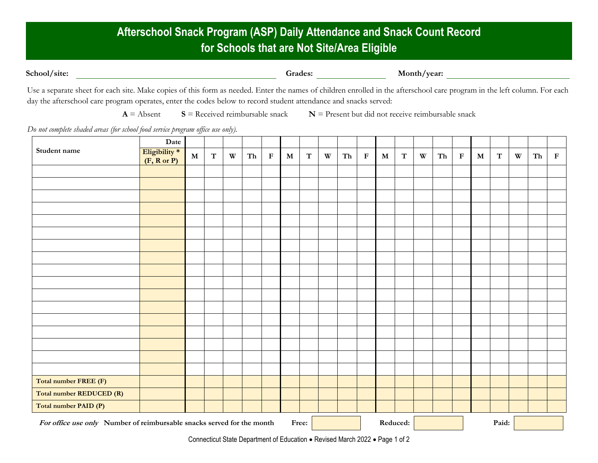## **Afterschool Snack Program (ASP) Daily Attendance and Snack Count Record for Schools that are Not Site/Area Eligible**

| Grades: | Month/year: |
|---------|-------------|
|         |             |

Use a separate sheet for each site. Make copies of this form as needed. Enter the names of children enrolled in the afterschool care program in the left column. For each day the afterschool care program operates, enter the codes below to record student attendance and snacks served:

 $A =$  Absent  $S =$  Received reimbursable snack  $N =$  Present but did not receive reimbursable snack

*Do not complete shaded areas (for school food service program office use only).*

| Student name                                                           | Date                                    |             |             |              |    |             |           |             |   |    |             |             |             |   |    |             |             |             |                           |    |             |  |
|------------------------------------------------------------------------|-----------------------------------------|-------------|-------------|--------------|----|-------------|-----------|-------------|---|----|-------------|-------------|-------------|---|----|-------------|-------------|-------------|---------------------------|----|-------------|--|
|                                                                        | Eligibility *<br>$(F, R \text{ or } P)$ | $\mathbf M$ | $\mathbf T$ | $\mathbf{W}$ | Th | $\mathbf F$ | ${\bf M}$ | $\mathbf T$ | W | Th | $\mathbf F$ | $\mathbf M$ | $\mathbf T$ | W | Th | $\mathbf F$ | $\mathbf M$ | $\mathbf T$ | $\ensuremath{\mathbf{W}}$ | Th | $\mathbf F$ |  |
|                                                                        |                                         |             |             |              |    |             |           |             |   |    |             |             |             |   |    |             |             |             |                           |    |             |  |
|                                                                        |                                         |             |             |              |    |             |           |             |   |    |             |             |             |   |    |             |             |             |                           |    |             |  |
|                                                                        |                                         |             |             |              |    |             |           |             |   |    |             |             |             |   |    |             |             |             |                           |    |             |  |
|                                                                        |                                         |             |             |              |    |             |           |             |   |    |             |             |             |   |    |             |             |             |                           |    |             |  |
|                                                                        |                                         |             |             |              |    |             |           |             |   |    |             |             |             |   |    |             |             |             |                           |    |             |  |
|                                                                        |                                         |             |             |              |    |             |           |             |   |    |             |             |             |   |    |             |             |             |                           |    |             |  |
|                                                                        |                                         |             |             |              |    |             |           |             |   |    |             |             |             |   |    |             |             |             |                           |    |             |  |
|                                                                        |                                         |             |             |              |    |             |           |             |   |    |             |             |             |   |    |             |             |             |                           |    |             |  |
|                                                                        |                                         |             |             |              |    |             |           |             |   |    |             |             |             |   |    |             |             |             |                           |    |             |  |
|                                                                        |                                         |             |             |              |    |             |           |             |   |    |             |             |             |   |    |             |             |             |                           |    |             |  |
|                                                                        |                                         |             |             |              |    |             |           |             |   |    |             |             |             |   |    |             |             |             |                           |    |             |  |
|                                                                        |                                         |             |             |              |    |             |           |             |   |    |             |             |             |   |    |             |             |             |                           |    |             |  |
|                                                                        |                                         |             |             |              |    |             |           |             |   |    |             |             |             |   |    |             |             |             |                           |    |             |  |
|                                                                        |                                         |             |             |              |    |             |           |             |   |    |             |             |             |   |    |             |             |             |                           |    |             |  |
|                                                                        |                                         |             |             |              |    |             |           |             |   |    |             |             |             |   |    |             |             |             |                           |    |             |  |
|                                                                        |                                         |             |             |              |    |             |           |             |   |    |             |             |             |   |    |             |             |             |                           |    |             |  |
|                                                                        |                                         |             |             |              |    |             |           |             |   |    |             |             |             |   |    |             |             |             |                           |    |             |  |
| Total number FREE (F)                                                  |                                         |             |             |              |    |             |           |             |   |    |             |             |             |   |    |             |             |             |                           |    |             |  |
| Total number REDUCED (R)                                               |                                         |             |             |              |    |             |           |             |   |    |             |             |             |   |    |             |             |             |                           |    |             |  |
| Total number PAID (P)                                                  |                                         |             |             |              |    |             |           |             |   |    |             |             |             |   |    |             |             |             |                           |    |             |  |
| For office use only Number of reimbursable snacks served for the month |                                         |             |             |              |    | Free:       |           |             |   |    | Reduced:    |             |             |   |    |             | Paid:       |             |                           |    |             |  |